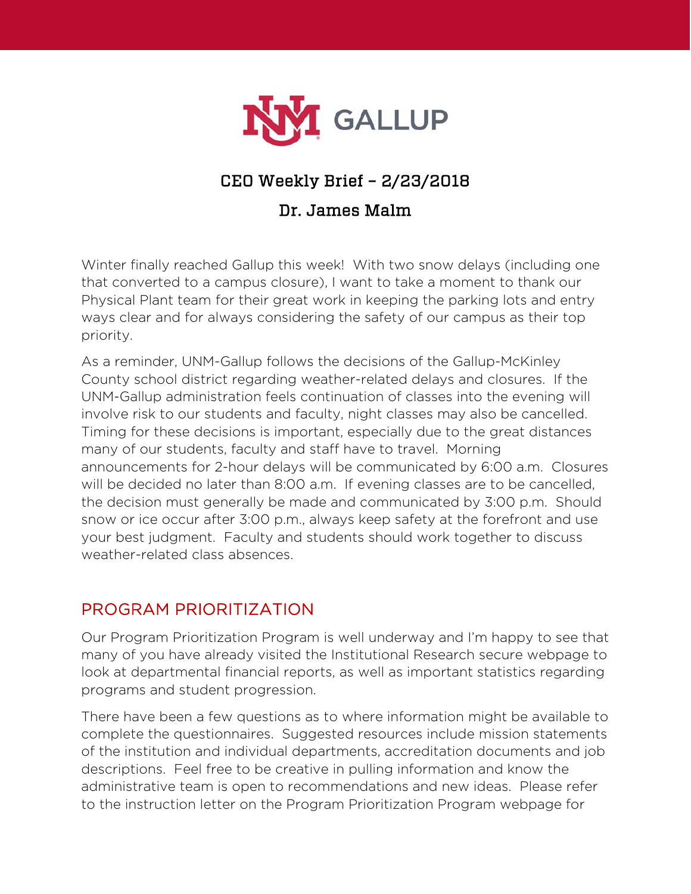

# CEO Weekly Brief – 2/23/2018

# Dr. James Malm

Winter finally reached Gallup this week! With two snow delays (including one that converted to a campus closure), I want to take a moment to thank our Physical Plant team for their great work in keeping the parking lots and entry ways clear and for always considering the safety of our campus as their top priority.

As a reminder, UNM-Gallup follows the decisions of the Gallup-McKinley County school district regarding weather-related delays and closures. If the UNM-Gallup administration feels continuation of classes into the evening will involve risk to our students and faculty, night classes may also be cancelled. Timing for these decisions is important, especially due to the great distances many of our students, faculty and staff have to travel. Morning announcements for 2-hour delays will be communicated by 6:00 a.m. Closures will be decided no later than 8:00 a.m. If evening classes are to be cancelled, the decision must generally be made and communicated by 3:00 p.m. Should snow or ice occur after 3:00 p.m., always keep safety at the forefront and use your best judgment. Faculty and students should work together to discuss weather-related class absences.

# PROGRAM PRIORITIZATION

Our Program Prioritization Program is well underway and I'm happy to see that many of you have already visited the Institutional Research secure webpage to look at departmental financial reports, as well as important statistics regarding programs and student progression.

There have been a few questions as to where information might be available to complete the questionnaires. Suggested resources include mission statements of the institution and individual departments, accreditation documents and job descriptions. Feel free to be creative in pulling information and know the administrative team is open to recommendations and new ideas. Please refer to the instruction letter on the Program Prioritization Program webpage for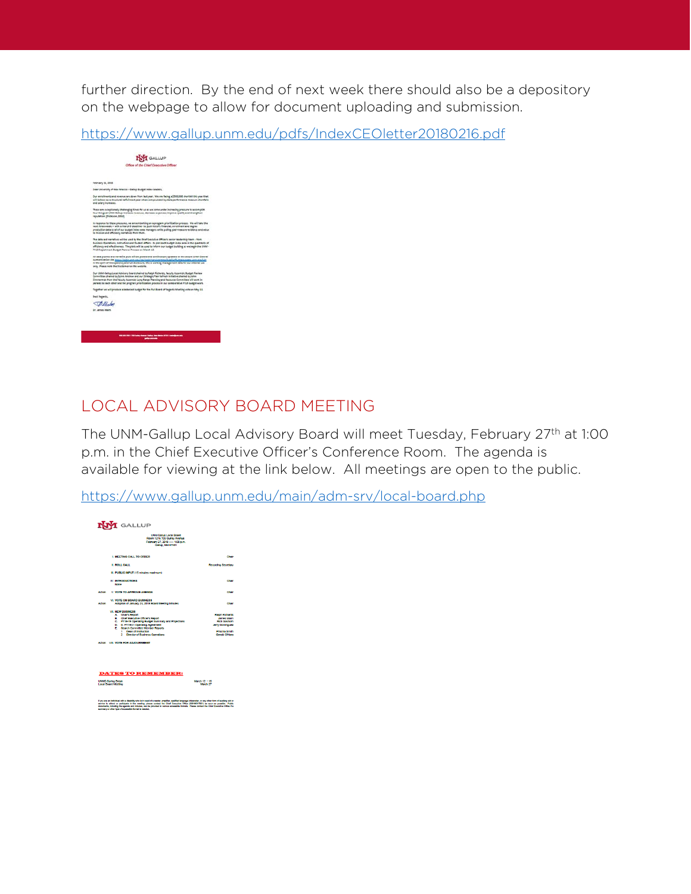further direction. By the end of next week there should also be a depository on the webpage to allow for document uploading and submission.

| https://www.gallup.unm.edu/pdfs/IndexCEOletter20180216.pdf |
|------------------------------------------------------------|
|------------------------------------------------------------|

|                       | Office of the Chief Executive Officer                                                                                                                                                                                                                                                                                                                                                                   |
|-----------------------|---------------------------------------------------------------------------------------------------------------------------------------------------------------------------------------------------------------------------------------------------------------------------------------------------------------------------------------------------------------------------------------------------------|
|                       |                                                                                                                                                                                                                                                                                                                                                                                                         |
|                       |                                                                                                                                                                                                                                                                                                                                                                                                         |
| February 14, 2018     |                                                                                                                                                                                                                                                                                                                                                                                                         |
|                       | Bear Litruaryity of Alew Maxists - Gallup Buildet Index Leaders,                                                                                                                                                                                                                                                                                                                                        |
| and salary increases. | Our enrollments and revenue are down from last year. We are facing a \$500,000 shortfull this year that<br>will before as a structural deficit next year when compounded by state performance measure shortfield                                                                                                                                                                                        |
|                       | These are extentionally challenging times for us as we come under increasing pressure to accomplish<br>four Blaugs at UNAN Gallup: Increase revenues, decrease expenses, improve quality and direngthen<br>resultation. (Dickesse, 3063)                                                                                                                                                                |
|                       | In response to these pressures, we are embarking on a program prioritization process. We will take the<br>treat three weeks - with a hilarch 3 deadline - to puch historic financial, enrothment and degree<br>production data to all of our budget index area managers while putting goal-measure-exidence and value.<br>to mission and efficiency narratives than them.                               |
|                       | The data and narratives will be used by the Chief Executive Cifficer's senior leadership faam - from<br>Business Operations, Instrumine and Student Affairs - to plat each budget index area in the quadrants of<br>efficiency and effectiveness. The plots will be used to inform our budget building as we begin the UNM -<br>FILE Department Budget Planner Process on March LZ.                     |
|                       | An otes pupilita to directable puts will be oceted and continuously updated on the secure unity Contrar<br>Authentication site www.chapin.upm.exultauh<br><b>Chairman and Contact State</b><br>is the 1920 of transporency and full disclesure, this is working management data for our internal une<br>into: Please note the Elorisman on the website.                                                 |
|                       | Our Utilit-Bellup Locel Advisory Boerd cheired by Keish Kicherds, Peculis Assembly Budget Review<br>Committee chaired by Sylvia Andrew and our Strategic Plan Refract Initiative chaired by John<br>Dimmerman from the Fesulty Assembly Lang Renge Plenning and Resource Committee will work in<br>parallel to each other and the program priorhipation process in our collaborative Fridi budget work. |
|                       | Topsther un will produce a balanced budget for the full Soard of Separats Marting vists on May 13.                                                                                                                                                                                                                                                                                                      |
| <b>Best Regards</b>   |                                                                                                                                                                                                                                                                                                                                                                                                         |
| <b>TAMINA</b>         |                                                                                                                                                                                                                                                                                                                                                                                                         |
| <b>Dr. James Mem</b>  |                                                                                                                                                                                                                                                                                                                                                                                                         |
|                       |                                                                                                                                                                                                                                                                                                                                                                                                         |
|                       |                                                                                                                                                                                                                                                                                                                                                                                                         |

## LOCAL ADVISORY BOARD MEETING

The UNM-Gallup Local Advisory Board will meet Tuesday, February 27th at 1:00 p.m. in the Chief Executive Officer's Conference Room. The agenda is available for viewing at the link below. All meetings are open to the public.

<https://www.gallup.unm.edu/main/adm-srv/local-board.php>

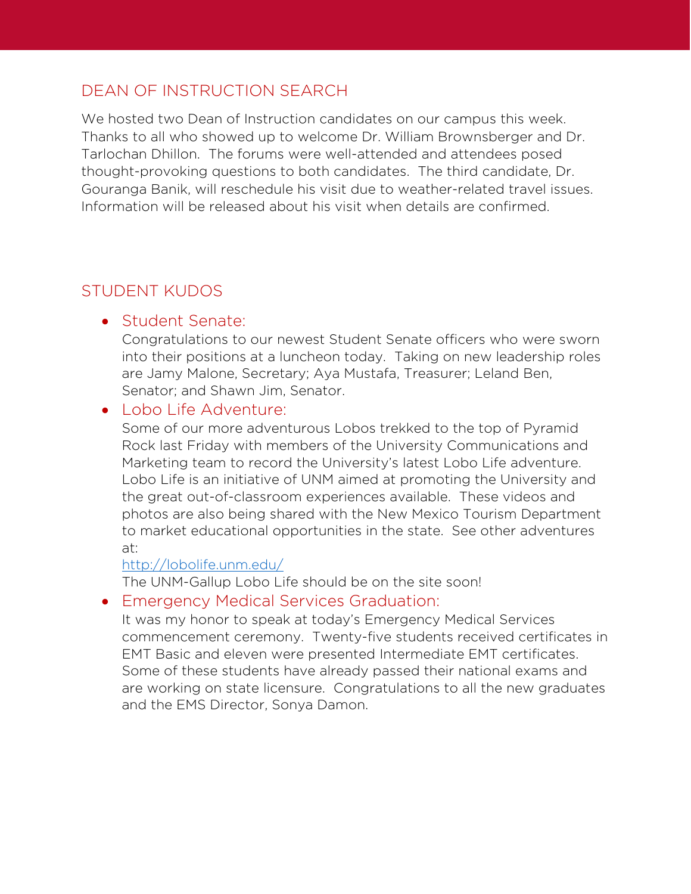### DEAN OF INSTRUCTION SEARCH

We hosted two Dean of Instruction candidates on our campus this week. Thanks to all who showed up to welcome Dr. William Brownsberger and Dr. Tarlochan Dhillon. The forums were well-attended and attendees posed thought-provoking questions to both candidates. The third candidate, Dr. Gouranga Banik, will reschedule his visit due to weather-related travel issues. Information will be released about his visit when details are confirmed.

# STUDENT KUDOS

### • Student Senate:

Congratulations to our newest Student Senate officers who were sworn into their positions at a luncheon today. Taking on new leadership roles are Jamy Malone, Secretary; Aya Mustafa, Treasurer; Leland Ben, Senator; and Shawn Jim, Senator.

### • Lobo Life Adventure:

Some of our more adventurous Lobos trekked to the top of Pyramid Rock last Friday with members of the University Communications and Marketing team to record the University's latest Lobo Life adventure. Lobo Life is an initiative of UNM aimed at promoting the University and the great out-of-classroom experiences available. These videos and photos are also being shared with the New Mexico Tourism Department to market educational opportunities in the state. See other adventures at:

#### <http://lobolife.unm.edu/>

The UNM-Gallup Lobo Life should be on the site soon!

#### • Emergency Medical Services Graduation:

It was my honor to speak at today's Emergency Medical Services commencement ceremony. Twenty-five students received certificates in EMT Basic and eleven were presented Intermediate EMT certificates. Some of these students have already passed their national exams and are working on state licensure. Congratulations to all the new graduates and the EMS Director, Sonya Damon.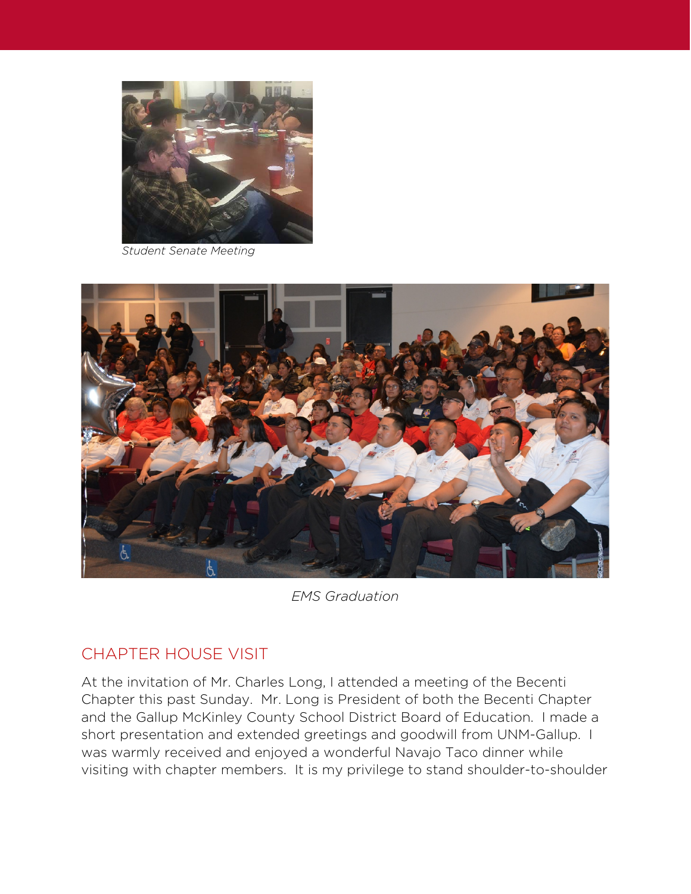

*Student Senate Meeting*



*EMS Graduation*

## CHAPTER HOUSE VISIT

At the invitation of Mr. Charles Long, I attended a meeting of the Becenti Chapter this past Sunday. Mr. Long is President of both the Becenti Chapter and the Gallup McKinley County School District Board of Education. I made a short presentation and extended greetings and goodwill from UNM-Gallup. I was warmly received and enjoyed a wonderful Navajo Taco dinner while visiting with chapter members. It is my privilege to stand shoulder-to-shoulder